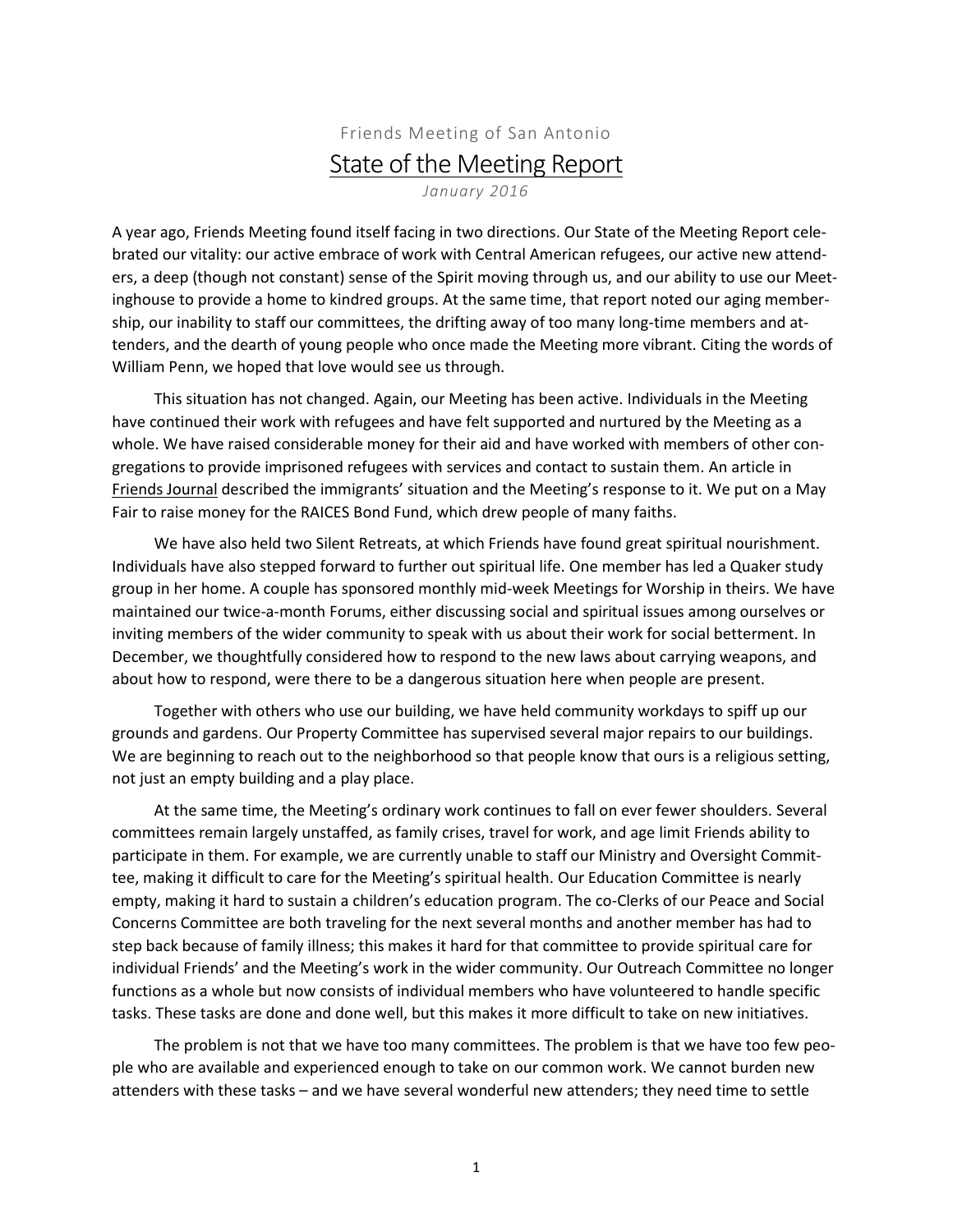## Friends Meeting of San Antonio State of the Meeting Report *January 2016*

A year ago, Friends Meeting found itself facing in two directions. Our State of the Meeting Report celebrated our vitality: our active embrace of work with Central American refugees, our active new attenders, a deep (though not constant) sense of the Spirit moving through us, and our ability to use our Meetinghouse to provide a home to kindred groups. At the same time, that report noted our aging membership, our inability to staff our committees, the drifting away of too many long-time members and attenders, and the dearth of young people who once made the Meeting more vibrant. Citing the words of William Penn, we hoped that love would see us through.

This situation has not changed. Again, our Meeting has been active. Individuals in the Meeting have continued their work with refugees and have felt supported and nurtured by the Meeting as a whole. We have raised considerable money for their aid and have worked with members of other congregations to provide imprisoned refugees with services and contact to sustain them. An article in Friends Journal described the immigrants' situation and the Meeting's response to it. We put on a May Fair to raise money for the RAICES Bond Fund, which drew people of many faiths.

We have also held two Silent Retreats, at which Friends have found great spiritual nourishment. Individuals have also stepped forward to further out spiritual life. One member has led a Quaker study group in her home. A couple has sponsored monthly mid-week Meetings for Worship in theirs. We have maintained our twice-a-month Forums, either discussing social and spiritual issues among ourselves or inviting members of the wider community to speak with us about their work for social betterment. In December, we thoughtfully considered how to respond to the new laws about carrying weapons, and about how to respond, were there to be a dangerous situation here when people are present.

Together with others who use our building, we have held community workdays to spiff up our grounds and gardens. Our Property Committee has supervised several major repairs to our buildings. We are beginning to reach out to the neighborhood so that people know that ours is a religious setting, not just an empty building and a play place.

At the same time, the Meeting's ordinary work continues to fall on ever fewer shoulders. Several committees remain largely unstaffed, as family crises, travel for work, and age limit Friends ability to participate in them. For example, we are currently unable to staff our Ministry and Oversight Committee, making it difficult to care for the Meeting's spiritual health. Our Education Committee is nearly empty, making it hard to sustain a children's education program. The co-Clerks of our Peace and Social Concerns Committee are both traveling for the next several months and another member has had to step back because of family illness; this makes it hard for that committee to provide spiritual care for individual Friends' and the Meeting's work in the wider community. Our Outreach Committee no longer functions as a whole but now consists of individual members who have volunteered to handle specific tasks. These tasks are done and done well, but this makes it more difficult to take on new initiatives.

The problem is not that we have too many committees. The problem is that we have too few people who are available and experienced enough to take on our common work. We cannot burden new attenders with these tasks – and we have several wonderful new attenders; they need time to settle